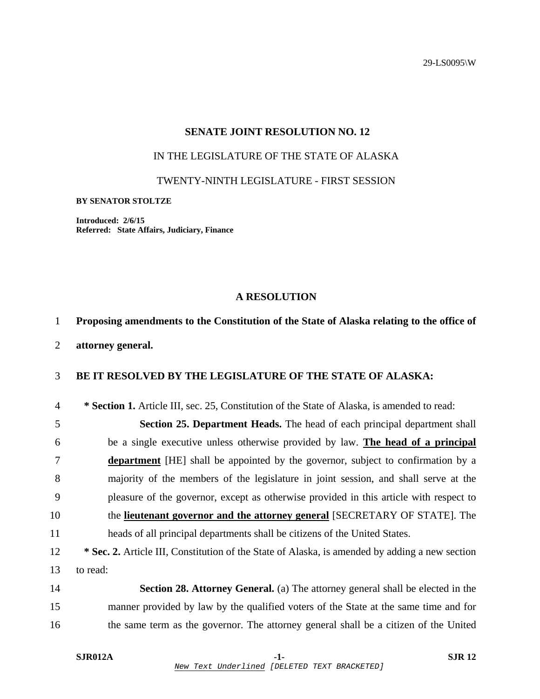29-LS0095\W

## **SENATE JOINT RESOLUTION NO. 12**

# IN THE LEGISLATURE OF THE STATE OF ALASKA

TWENTY-NINTH LEGISLATURE - FIRST SESSION

#### **BY SENATOR STOLTZE**

**Introduced: 2/6/15 Referred: State Affairs, Judiciary, Finance** 

### **A RESOLUTION**

# 1 **Proposing amendments to the Constitution of the State of Alaska relating to the office of**

2 **attorney general.** 

### 3 **BE IT RESOLVED BY THE LEGISLATURE OF THE STATE OF ALASKA:**

4 **\* Section 1.** Article III, sec. 25, Constitution of the State of Alaska, is amended to read:

5 **Section 25. Department Heads.** The head of each principal department shall 6 be a single executive unless otherwise provided by law. **The head of a principal** 7 **department** [HE] shall be appointed by the governor, subject to confirmation by a 8 majority of the members of the legislature in joint session, and shall serve at the 9 pleasure of the governor, except as otherwise provided in this article with respect to 10 the **lieutenant governor and the attorney general** [SECRETARY OF STATE]. The 11 heads of all principal departments shall be citizens of the United States.

12 **\* Sec. 2.** Article III, Constitution of the State of Alaska, is amended by adding a new section 13 to read:

14 **Section 28. Attorney General.** (a) The attorney general shall be elected in the 15 manner provided by law by the qualified voters of the State at the same time and for 16 the same term as the governor. The attorney general shall be a citizen of the United